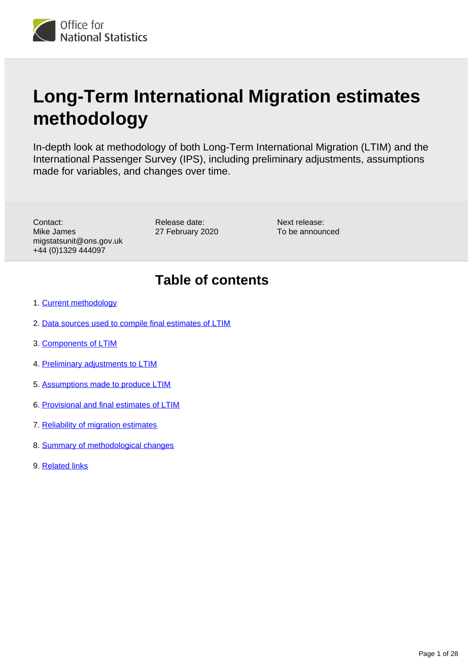# <span id="page-0-0"></span>**Long-Term International Migration estimates methodology**

In-depth look at methodology of both Long-Term International Migration (LTIM) and the International Passenger Survey (IPS), including preliminary adjustments, assumptions made for variables, and changes over time.

Contact: Mike James migstatsunit@ons.gov.uk +44 (0)1329 444097

Release date: 27 February 2020 Next release: To be announced

# **Table of contents**

- 1. [Current methodology](#page-1-0)
- 2. [Data sources used to compile final estimates of LTIM](#page-1-1)
- 3. [Components of LTIM](#page-2-0)
- 4. [Preliminary adjustments to LTIM](#page-8-0)
- 5. [Assumptions made to produce LTIM](#page-15-0)
- 6. [Provisional and final estimates of LTIM](#page-18-0)
- 7. [Reliability of migration estimates](#page-21-0)
- 8. [Summary of methodological changes](#page-21-1)
- 9. [Related links](#page-27-0)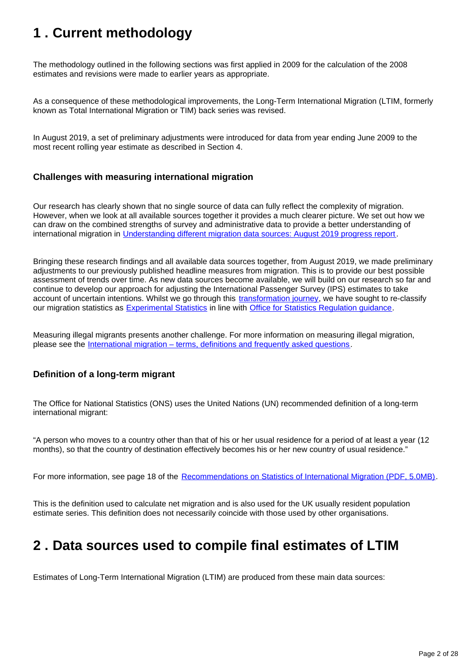# <span id="page-1-0"></span>**1 . Current methodology**

The methodology outlined in the following sections was first applied in 2009 for the calculation of the 2008 estimates and revisions were made to earlier years as appropriate.

As a consequence of these methodological improvements, the Long-Term International Migration (LTIM, formerly known as Total International Migration or TIM) back series was revised.

In August 2019, a set of preliminary adjustments were introduced for data from year ending June 2009 to the most recent rolling year estimate as described in Section 4.

#### **Challenges with measuring international migration**

Our research has clearly shown that no single source of data can fully reflect the complexity of migration. However, when we look at all available sources together it provides a much clearer picture. We set out how we can draw on the combined strengths of survey and administrative data to provide a better understanding of international migration in [Understanding different migration data sources: August 2019 progress report.](https://www.ons.gov.uk/peoplepopulationandcommunity/populationandmigration/internationalmigration/articles/understandingdifferentmigrationdatasources/augustprogressreport)

Bringing these research findings and all available data sources together, from August 2019, we made preliminary adjustments to our previously published headline measures from migration. This is to provide our best possible assessment of trends over time. As new data sources become available, we will build on our research so far and continue to develop our approach for adjusting the International Passenger Survey (IPS) estimates to take account of uncertain intentions. Whilst we go through this [transformation journey](https://www.ons.gov.uk/peoplepopulationandcommunity/populationandmigration/internationalmigration/articles/transformationofthepopulationandmigrationstatisticssystemoverview/2019-06-21), we have sought to re-classify our migration statistics as **[Experimental Statistics](https://www.ons.gov.uk/methodology/methodologytopicsandstatisticalconcepts/guidetoexperimentalstatistics)** in line with **Office for Statistics Regulation guidance**.

Measuring illegal migrants presents another challenge. For more information on measuring illegal migration, please see the [International migration – terms, definitions and frequently asked questions](https://www.ons.gov.uk/peoplepopulationandcommunity/populationandmigration/internationalmigration/methodologies/longterminternationalmigrationfrequentlyaskedquestionsandbackgroundnotes).

#### **Definition of a long-term migrant**

The Office for National Statistics (ONS) uses the United Nations (UN) recommended definition of a long-term international migrant:

"A person who moves to a country other than that of his or her usual residence for a period of at least a year (12 months), so that the country of destination effectively becomes his or her new country of usual residence."

For more information, see page 18 of the [Recommendations on Statistics of International Migration \(PDF, 5.0MB\).](http://unstats.un.org/unsd/publication/SeriesM/SeriesM_58rev1e.pdf)

This is the definition used to calculate net migration and is also used for the UK usually resident population estimate series. This definition does not necessarily coincide with those used by other organisations.

# <span id="page-1-1"></span>**2 . Data sources used to compile final estimates of LTIM**

Estimates of Long-Term International Migration (LTIM) are produced from these main data sources: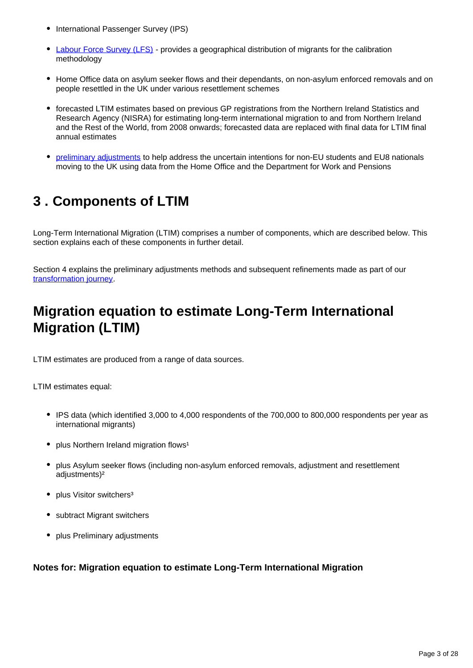- International Passenger Survey (IPS)
- [Labour Force Survey \(LFS\)](http://www.ons.gov.uk/ons/about-ons/get-involved/taking-part-in-a-survey/information-for-households/a-to-z-of-household-and-individual-surveys/labour-force-survey/index.html) provides a geographical distribution of migrants for the calibration methodology
- Home Office data on asylum seeker flows and their dependants, on non-asylum enforced removals and on people resettled in the UK under various resettlement schemes
- forecasted LTIM estimates based on previous GP registrations from the Northern Ireland Statistics and Research Agency (NISRA) for estimating long-term international migration to and from Northern Ireland and the Rest of the World, from 2008 onwards; forecasted data are replaced with final data for LTIM final annual estimates
- [preliminary adjustments](https://www.ons.gov.uk/peoplepopulationandcommunity/populationandmigration/internationalmigration/articles/understandingdifferentmigrationdatasources/augustprogressreport) to help address the uncertain intentions for non-EU students and EU8 nationals moving to the UK using data from the Home Office and the Department for Work and Pensions

# <span id="page-2-0"></span>**3 . Components of LTIM**

Long-Term International Migration (LTIM) comprises a number of components, which are described below. This section explains each of these components in further detail.

Section 4 explains the preliminary adjustments methods and subsequent refinements made as part of our [transformation journey](https://www.ons.gov.uk/peoplepopulationandcommunity/populationandmigration/internationalmigration/articles/transformationofthepopulationandmigrationstatisticssystemoverview/2019-06-21).

# **Migration equation to estimate Long-Term International Migration (LTIM)**

LTIM estimates are produced from a range of data sources.

LTIM estimates equal:

- IPS data (which identified 3,000 to 4,000 respondents of the 700,000 to 800,000 respondents per year as international migrants)
- plus Northern Ireland migration flows<sup>1</sup>
- plus Asylum seeker flows (including non-asylum enforced removals, adjustment and resettlement adjustments)²
- plus Visitor switchers<sup>3</sup>
- subtract Migrant switchers
- plus Preliminary adjustments

#### **Notes for: Migration equation to estimate Long-Term International Migration**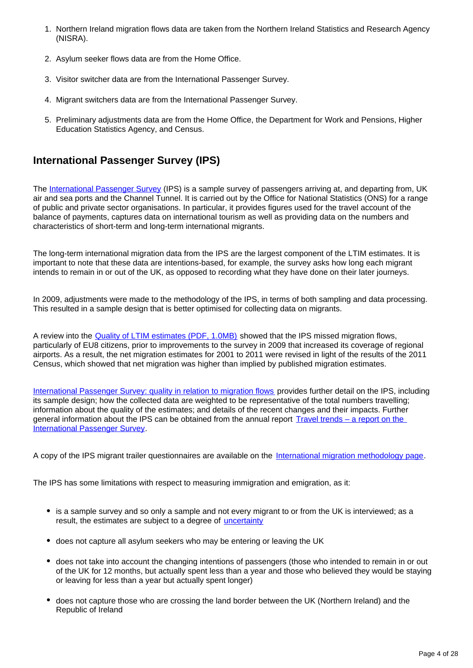- 1. Northern Ireland migration flows data are taken from the Northern Ireland Statistics and Research Agency (NISRA).
- 2. Asylum seeker flows data are from the Home Office.
- 3. Visitor switcher data are from the International Passenger Survey.
- 4. Migrant switchers data are from the International Passenger Survey.
- 5. Preliminary adjustments data are from the Home Office, the Department for Work and Pensions, Higher Education Statistics Agency, and Census.

#### **International Passenger Survey (IPS)**

The [International Passenger Survey](https://www.ons.gov.uk/peoplepopulationandcommunity/leisureandtourism/methodologies/internationalpassengersurveyqmi) (IPS) is a sample survey of passengers arriving at, and departing from, UK air and sea ports and the Channel Tunnel. It is carried out by the Office for National Statistics (ONS) for a range of public and private sector organisations. In particular, it provides figures used for the travel account of the balance of payments, captures data on international tourism as well as providing data on the numbers and characteristics of short-term and long-term international migrants.

The long-term international migration data from the IPS are the largest component of the LTIM estimates. It is important to note that these data are intentions-based, for example, the survey asks how long each migrant intends to remain in or out of the UK, as opposed to recording what they have done on their later journeys.

In 2009, adjustments were made to the methodology of the IPS, in terms of both sampling and data processing. This resulted in a sample design that is better optimised for collecting data on migrants.

A review into the [Quality of LTIM estimates \(PDF, 1.0MB\)](https://webarchive.nationalarchives.gov.uk/20150505115600/http://www.ons.gov.uk/ons/guide-method/method-quality/specific/population-and-migration/international-migration-methodology/quality-of-long-term-international-migration-estimates-from-2001-to-2011.pdf) showed that the IPS missed migration flows, particularly of EU8 citizens, prior to improvements to the survey in 2009 that increased its coverage of regional airports. As a result, the net migration estimates for 2001 to 2011 were revised in light of the results of the 2011 Census, which showed that net migration was higher than implied by published migration estimates.

[International Passenger Survey: quality in relation to migration flows](https://www.ons.gov.uk/peoplepopulationandcommunity/populationandmigration/internationalmigration/methodologies/internationalpassengersurveyqualityinformationinrelationtomigrationflows) provides further detail on the IPS, including its sample design; how the collected data are weighted to be representative of the total numbers travelling; information about the quality of the estimates; and details of the recent changes and their impacts. Further general information about the IPS can be obtained from the annual report [Travel trends – a report on the](https://www.ons.gov.uk/peoplepopulationandcommunity/leisureandtourism/articles/traveltrends/previousReleases)  [International Passenger Survey.](https://www.ons.gov.uk/peoplepopulationandcommunity/leisureandtourism/articles/traveltrends/previousReleases)

A copy of the IPS migrant trailer questionnaires are available on the [International migration methodology page.](https://www.ons.gov.uk/peoplepopulationandcommunity/populationandmigration/internationalmigration/methodologies/internationalmigrationmethodology)

The IPS has some limitations with respect to measuring immigration and emigration, as it:

- is a sample survey and so only a sample and not every migrant to or from the UK is interviewed; as a result, the estimates are subject to a degree of [uncertainty](https://www.ons.gov.uk/methodology/methodologytopicsandstatisticalconcepts/uncertaintyandhowwemeasureit#what-is-uncertainty)
- does not capture all asylum seekers who may be entering or leaving the UK
- does not take into account the changing intentions of passengers (those who intended to remain in or out of the UK for 12 months, but actually spent less than a year and those who believed they would be staying or leaving for less than a year but actually spent longer)
- does not capture those who are crossing the land border between the UK (Northern Ireland) and the Republic of Ireland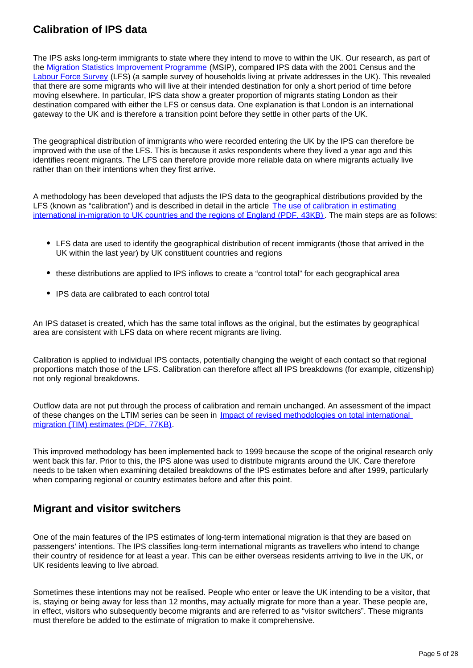## **Calibration of IPS data**

The IPS asks long-term immigrants to state where they intend to move to within the UK. Our research, as part of the [Migration Statistics Improvement Programme](http://www.ons.gov.uk/ons/guide-method/method-quality/imps/index.html) (MSIP), compared IPS data with the 2001 Census and the [Labour Force Survey](http://www.ons.gov.uk/ons/about-ons/get-involved/taking-part-in-a-survey/information-for-households/a-to-z-of-household-and-individual-surveys/labour-force-survey/index.html) (LFS) (a sample survey of households living at private addresses in the UK). This revealed that there are some migrants who will live at their intended destination for only a short period of time before moving elsewhere. In particular, IPS data show a greater proportion of migrants stating London as their destination compared with either the LFS or census data. One explanation is that London is an international gateway to the UK and is therefore a transition point before they settle in other parts of the UK.

The geographical distribution of immigrants who were recorded entering the UK by the IPS can therefore be improved with the use of the LFS. This is because it asks respondents where they lived a year ago and this identifies recent migrants. The LFS can therefore provide more reliable data on where migrants actually live rather than on their intentions when they first arrive.

A methodology has been developed that adjusts the IPS data to the geographical distributions provided by the LFS (known as "calibration") and is described in detail in the article [The use of calibration in estimating](http://webarchive.nationalarchives.gov.uk/20160106041638/http:/www.ons.gov.uk/ons/guide-method/method-quality/imps/archive-material/archive-background-information/improved-methods-for-population-statistics-revisions--archive-material-/the-use-of-calibration-in-estimating-international.pdf)  [international in-migration to UK countries and the regions of England \(PDF, 43KB\)](http://webarchive.nationalarchives.gov.uk/20160106041638/http:/www.ons.gov.uk/ons/guide-method/method-quality/imps/archive-material/archive-background-information/improved-methods-for-population-statistics-revisions--archive-material-/the-use-of-calibration-in-estimating-international.pdf) . The main steps are as follows:

- LFS data are used to identify the geographical distribution of recent immigrants (those that arrived in the UK within the last year) by UK constituent countries and regions
- these distributions are applied to IPS inflows to create a "control total" for each geographical area
- IPS data are calibrated to each control total

An IPS dataset is created, which has the same total inflows as the original, but the estimates by geographical area are consistent with LFS data on where recent migrants are living.

Calibration is applied to individual IPS contacts, potentially changing the weight of each contact so that regional proportions match those of the LFS. Calibration can therefore affect all IPS breakdowns (for example, citizenship) not only regional breakdowns.

Outflow data are not put through the process of calibration and remain unchanged. An assessment of the impact of these changes on the LTIM series can be seen in [Impact of revised methodologies on total international](https://www.ons.gov.uk/file?uri=/peoplepopulationandcommunity/populationandmigration/internationalmigration/methodologies/longterminternationalmigrationestimatesmethodology/2353582.pdf)  [migration \(TIM\) estimates \(PDF, 77KB\)](https://www.ons.gov.uk/file?uri=/peoplepopulationandcommunity/populationandmigration/internationalmigration/methodologies/longterminternationalmigrationestimatesmethodology/2353582.pdf).

This improved methodology has been implemented back to 1999 because the scope of the original research only went back this far. Prior to this, the IPS alone was used to distribute migrants around the UK. Care therefore needs to be taken when examining detailed breakdowns of the IPS estimates before and after 1999, particularly when comparing regional or country estimates before and after this point.

#### **Migrant and visitor switchers**

One of the main features of the IPS estimates of long-term international migration is that they are based on passengers' intentions. The IPS classifies long-term international migrants as travellers who intend to change their country of residence for at least a year. This can be either overseas residents arriving to live in the UK, or UK residents leaving to live abroad.

Sometimes these intentions may not be realised. People who enter or leave the UK intending to be a visitor, that is, staying or being away for less than 12 months, may actually migrate for more than a year. These people are, in effect, visitors who subsequently become migrants and are referred to as "visitor switchers". These migrants must therefore be added to the estimate of migration to make it comprehensive.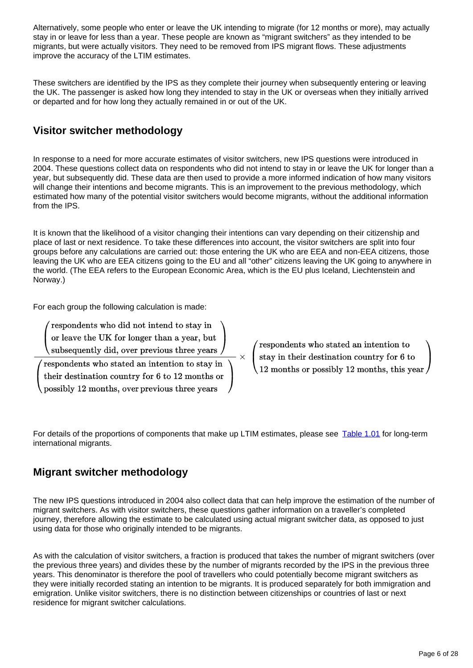Alternatively, some people who enter or leave the UK intending to migrate (for 12 months or more), may actually stay in or leave for less than a year. These people are known as "migrant switchers" as they intended to be migrants, but were actually visitors. They need to be removed from IPS migrant flows. These adjustments improve the accuracy of the LTIM estimates.

These switchers are identified by the IPS as they complete their journey when subsequently entering or leaving the UK. The passenger is asked how long they intended to stay in the UK or overseas when they initially arrived or departed and for how long they actually remained in or out of the UK.

#### **Visitor switcher methodology**

In response to a need for more accurate estimates of visitor switchers, new IPS questions were introduced in 2004. These questions collect data on respondents who did not intend to stay in or leave the UK for longer than a year, but subsequently did. These data are then used to provide a more informed indication of how many visitors will change their intentions and become migrants. This is an improvement to the previous methodology, which estimated how many of the potential visitor switchers would become migrants, without the additional information from the IPS.

It is known that the likelihood of a visitor changing their intentions can vary depending on their citizenship and place of last or next residence. To take these differences into account, the visitor switchers are split into four groups before any calculations are carried out: those entering the UK who are EEA and non-EEA citizens, those leaving the UK who are EEA citizens going to the EU and all "other" citizens leaving the UK going to anywhere in the world. (The EEA refers to the European Economic Area, which is the EU plus Iceland, Liechtenstein and Norway.)

For each group the following calculation is made:

respondents who did not intend to stay in or leave the UK for longer than a year, but subsequently did, over previous three years

respondents who stated an intention to stay in their destination country for 6 to 12 months or possibly 12 months, over previous three years

respondents who stated an intention to stay in their destination country for  $6$  to  $\left(12 \text{ months or possibly } 12 \text{ months}, \text{this year}\right)$ 

For details of the proportions of components that make up LTIM estimates, please see [Table 1.01](https://www.ons.gov.uk/peoplepopulationandcommunity/populationandmigration/internationalmigration/datasets/longterminternationalmigrationcomponentsandadjustmentstable101) for long-term international migrants.

## **Migrant switcher methodology**

The new IPS questions introduced in 2004 also collect data that can help improve the estimation of the number of migrant switchers. As with visitor switchers, these questions gather information on a traveller's completed journey, therefore allowing the estimate to be calculated using actual migrant switcher data, as opposed to just using data for those who originally intended to be migrants.

As with the calculation of visitor switchers, a fraction is produced that takes the number of migrant switchers (over the previous three years) and divides these by the number of migrants recorded by the IPS in the previous three years. This denominator is therefore the pool of travellers who could potentially become migrant switchers as they were initially recorded stating an intention to be migrants. It is produced separately for both immigration and emigration. Unlike visitor switchers, there is no distinction between citizenships or countries of last or next residence for migrant switcher calculations.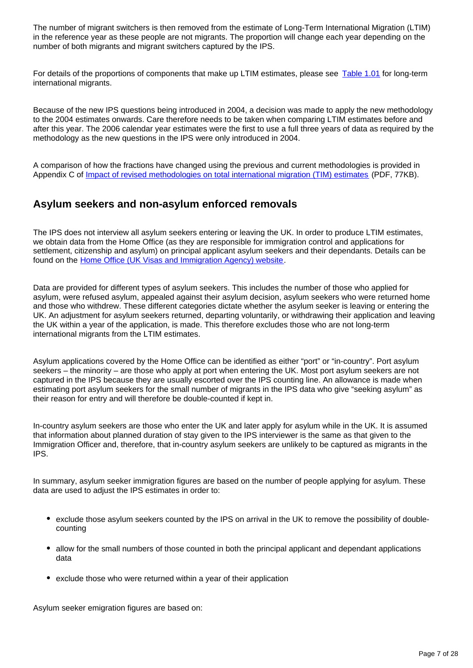The number of migrant switchers is then removed from the estimate of Long-Term International Migration (LTIM) in the reference year as these people are not migrants. The proportion will change each year depending on the number of both migrants and migrant switchers captured by the IPS.

For details of the proportions of components that make up LTIM estimates, please see [Table 1.01](https://www.ons.gov.uk/peoplepopulationandcommunity/populationandmigration/internationalmigration/datasets/longterminternationalmigrationcomponentsandadjustmentstable101) for long-term international migrants.

Because of the new IPS questions being introduced in 2004, a decision was made to apply the new methodology to the 2004 estimates onwards. Care therefore needs to be taken when comparing LTIM estimates before and after this year. The 2006 calendar year estimates were the first to use a full three years of data as required by the methodology as the new questions in the IPS were only introduced in 2004.

A comparison of how the fractions have changed using the previous and current methodologies is provided in Appendix C of [Impact of revised methodologies on total international migration \(TIM\) estimates](https://www.ons.gov.uk/file?uri=/peoplepopulationandcommunity/populationandmigration/internationalmigration/methodologies/longterminternationalmigrationestimatesmethodology/2353582.pdf) (PDF, 77KB).

#### **Asylum seekers and non-asylum enforced removals**

The IPS does not interview all asylum seekers entering or leaving the UK. In order to produce LTIM estimates, we obtain data from the Home Office (as they are responsible for immigration control and applications for settlement, citizenship and asylum) on principal applicant asylum seekers and their dependants. Details can be found on the [Home Office \(UK Visas and Immigration Agency\) website](https://www.gov.uk/government/organisations/uk-visas-and-immigration).

Data are provided for different types of asylum seekers. This includes the number of those who applied for asylum, were refused asylum, appealed against their asylum decision, asylum seekers who were returned home and those who withdrew. These different categories dictate whether the asylum seeker is leaving or entering the UK. An adjustment for asylum seekers returned, departing voluntarily, or withdrawing their application and leaving the UK within a year of the application, is made. This therefore excludes those who are not long-term international migrants from the LTIM estimates.

Asylum applications covered by the Home Office can be identified as either "port" or "in-country". Port asylum seekers – the minority – are those who apply at port when entering the UK. Most port asylum seekers are not captured in the IPS because they are usually escorted over the IPS counting line. An allowance is made when estimating port asylum seekers for the small number of migrants in the IPS data who give "seeking asylum" as their reason for entry and will therefore be double-counted if kept in.

In-country asylum seekers are those who enter the UK and later apply for asylum while in the UK. It is assumed that information about planned duration of stay given to the IPS interviewer is the same as that given to the Immigration Officer and, therefore, that in-country asylum seekers are unlikely to be captured as migrants in the IPS.

In summary, asylum seeker immigration figures are based on the number of people applying for asylum. These data are used to adjust the IPS estimates in order to:

- exclude those asylum seekers counted by the IPS on arrival in the UK to remove the possibility of doublecounting
- allow for the small numbers of those counted in both the principal applicant and dependant applications data
- exclude those who were returned within a vear of their application

Asylum seeker emigration figures are based on: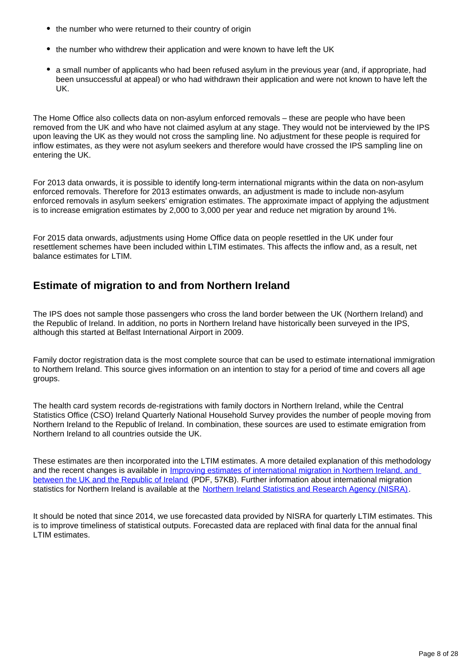- the number who were returned to their country of origin
- the number who withdrew their application and were known to have left the UK
- a small number of applicants who had been refused asylum in the previous year (and, if appropriate, had been unsuccessful at appeal) or who had withdrawn their application and were not known to have left the UK.

The Home Office also collects data on non-asylum enforced removals – these are people who have been removed from the UK and who have not claimed asylum at any stage. They would not be interviewed by the IPS upon leaving the UK as they would not cross the sampling line. No adjustment for these people is required for inflow estimates, as they were not asylum seekers and therefore would have crossed the IPS sampling line on entering the UK.

For 2013 data onwards, it is possible to identify long-term international migrants within the data on non-asylum enforced removals. Therefore for 2013 estimates onwards, an adjustment is made to include non-asylum enforced removals in asylum seekers' emigration estimates. The approximate impact of applying the adjustment is to increase emigration estimates by 2,000 to 3,000 per year and reduce net migration by around 1%.

For 2015 data onwards, adjustments using Home Office data on people resettled in the UK under four resettlement schemes have been included within LTIM estimates. This affects the inflow and, as a result, net balance estimates for LTIM.

#### **Estimate of migration to and from Northern Ireland**

The IPS does not sample those passengers who cross the land border between the UK (Northern Ireland) and the Republic of Ireland. In addition, no ports in Northern Ireland have historically been surveyed in the IPS, although this started at Belfast International Airport in 2009.

Family doctor registration data is the most complete source that can be used to estimate international immigration to Northern Ireland. This source gives information on an intention to stay for a period of time and covers all age groups.

The health card system records de-registrations with family doctors in Northern Ireland, while the Central Statistics Office (CSO) Ireland Quarterly National Household Survey provides the number of people moving from Northern Ireland to the Republic of Ireland. In combination, these sources are used to estimate emigration from Northern Ireland to all countries outside the UK.

These estimates are then incorporated into the LTIM estimates. A more detailed explanation of this methodology and the recent changes is available in [Improving estimates of international migration in Northern Ireland, and](http://webarchive.nationalarchives.gov.uk/20160105160709/http:/www.ons.gov.uk/ons/rel/migration1/long-term-international-migration/2008/irish-methodological-changes.pdf)  [between the UK and the Republic of Ireland](http://webarchive.nationalarchives.gov.uk/20160105160709/http:/www.ons.gov.uk/ons/rel/migration1/long-term-international-migration/2008/irish-methodological-changes.pdf) (PDF, 57KB). Further information about international migration statistics for Northern Ireland is available at the [Northern Ireland Statistics and Research Agency \(NISRA\)](http://www.nisra.gov.uk/).

It should be noted that since 2014, we use forecasted data provided by NISRA for quarterly LTIM estimates. This is to improve timeliness of statistical outputs. Forecasted data are replaced with final data for the annual final LTIM estimates.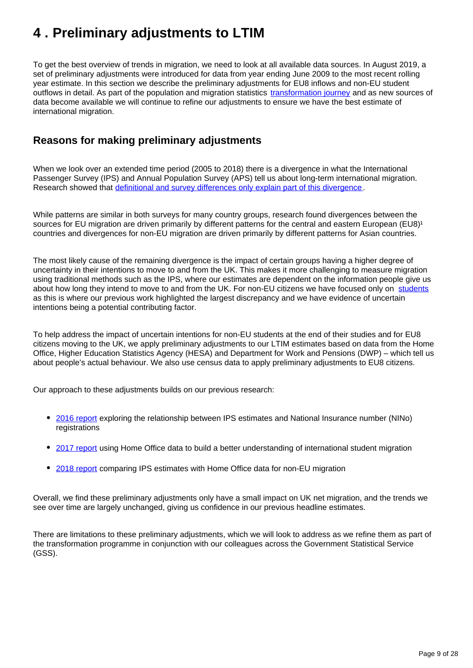# <span id="page-8-0"></span>**4 . Preliminary adjustments to LTIM**

To get the best overview of trends in migration, we need to look at all available data sources. In August 2019, a set of preliminary adjustments were introduced for data from year ending June 2009 to the most recent rolling year estimate. In this section we describe the preliminary adjustments for EU8 inflows and non-EU student outflows in detail. As part of the population and migration statistics [transformation journey](https://www.ons.gov.uk/peoplepopulationandcommunity/populationandmigration/internationalmigration/articles/transformationofthepopulationandmigrationstatisticssystemoverview/2019-06-21) and as new sources of data become available we will continue to refine our adjustments to ensure we have the best estimate of international migration.

#### **Reasons for making preliminary adjustments**

When we look over an extended time period (2005 to 2018) there is a divergence in what the International Passenger Survey (IPS) and Annual Population Survey (APS) tell us about long-term international migration. Research showed that [definitional and survey differences only explain part of this divergence.](https://www.ons.gov.uk/peoplepopulationandcommunity/populationandmigration/internationalmigration/articles/understandingdifferentmigrationdatasources/augustprogressreport)

While patterns are similar in both surveys for many country groups, research found divergences between the sources for EU migration are driven primarily by different patterns for the central and eastern European (EU8)<sup>1</sup> countries and divergences for non-EU migration are driven primarily by different patterns for Asian countries.

The most likely cause of the remaining divergence is the impact of certain groups having a higher degree of uncertainty in their intentions to move to and from the UK. This makes it more challenging to measure migration using traditional methods such as the IPS, where our estimates are dependent on the information people give us about how long they intend to move to and from the UK. For non-EU citizens we have focused only on [students](https://www.ons.gov.uk/peoplepopulationandcommunity/populationandmigration/internationalmigration/articles/whatshappeningwithinternationalstudentmigration/2017-08-24) as this is where our previous work highlighted the largest discrepancy and we have evidence of uncertain intentions being a potential contributing factor.

To help address the impact of uncertain intentions for non-EU students at the end of their studies and for EU8 citizens moving to the UK, we apply preliminary adjustments to our LTIM estimates based on data from the Home Office, Higher Education Statistics Agency (HESA) and Department for Work and Pensions (DWP) – which tell us about people's actual behaviour. We also use census data to apply preliminary adjustments to EU8 citizens.

Our approach to these adjustments builds on our previous research:

- [2016 report](https://www.ons.gov.uk/peoplepopulationandcommunity/populationandmigration/internationalmigration/articles/noteonthedifferencebetweennationalinsurancenumberregistrationsandtheestimateoflongterminternationalmigration/2016) exploring the relationship between IPS estimates and National Insurance number (NINo) registrations
- [2017 report](https://www.ons.gov.uk/peoplepopulationandcommunity/populationandmigration/internationalmigration/articles/whatshappeningwithinternationalstudentmigration/2017-08-24) using Home Office data to build a better understanding of international student migration
- [2018 report](https://www.ons.gov.uk/peoplepopulationandcommunity/populationandmigration/internationalmigration/articles/reportonthecomplexityandqualityofinternationalmigrationstatistics/july2018) comparing IPS estimates with Home Office data for non-EU migration

Overall, we find these preliminary adjustments only have a small impact on UK net migration, and the trends we see over time are largely unchanged, giving us confidence in our previous headline estimates.

There are limitations to these preliminary adjustments, which we will look to address as we refine them as part of the transformation programme in conjunction with our colleagues across the Government Statistical Service (GSS).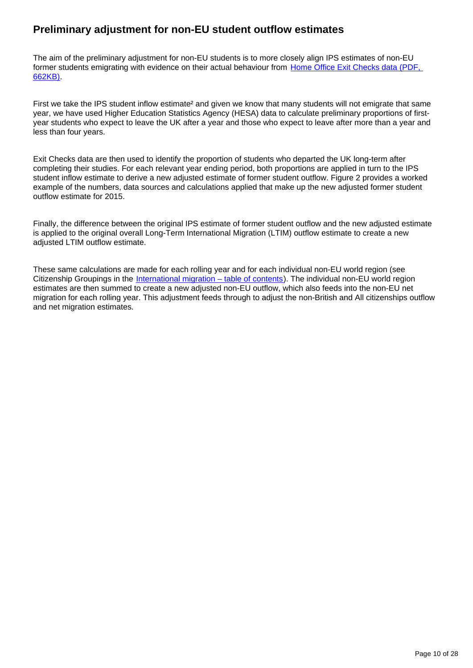#### **Preliminary adjustment for non-EU student outflow estimates**

The aim of the preliminary adjustment for non-EU students is to more closely align IPS estimates of non-EU former students emigrating with evidence on their actual behaviour from [Home Office Exit Checks data \(PDF,](https://assets.publishing.service.gov.uk/government/uploads/system/uploads/attachment_data/file/735241/user-guide-to-statistics-on-exit-checks.pdf)  [662KB\).](https://assets.publishing.service.gov.uk/government/uploads/system/uploads/attachment_data/file/735241/user-guide-to-statistics-on-exit-checks.pdf)

First we take the IPS student inflow estimate<sup>2</sup> and given we know that many students will not emigrate that same year, we have used Higher Education Statistics Agency (HESA) data to calculate preliminary proportions of firstyear students who expect to leave the UK after a year and those who expect to leave after more than a year and less than four years.

Exit Checks data are then used to identify the proportion of students who departed the UK long-term after completing their studies. For each relevant year ending period, both proportions are applied in turn to the IPS student inflow estimate to derive a new adjusted estimate of former student outflow. Figure 2 provides a worked example of the numbers, data sources and calculations applied that make up the new adjusted former student outflow estimate for 2015.

Finally, the difference between the original IPS estimate of former student outflow and the new adjusted estimate is applied to the original overall Long-Term International Migration (LTIM) outflow estimate to create a new adjusted LTIM outflow estimate.

These same calculations are made for each rolling year and for each individual non-EU world region (see Citizenship Groupings in the [International migration – table of contents\)](https://www.ons.gov.uk/peoplepopulationandcommunity/populationandmigration/internationalmigration/datasets/tableofcontents). The individual non-EU world region estimates are then summed to create a new adjusted non-EU outflow, which also feeds into the non-EU net migration for each rolling year. This adjustment feeds through to adjust the non-British and All citizenships outflow and net migration estimates.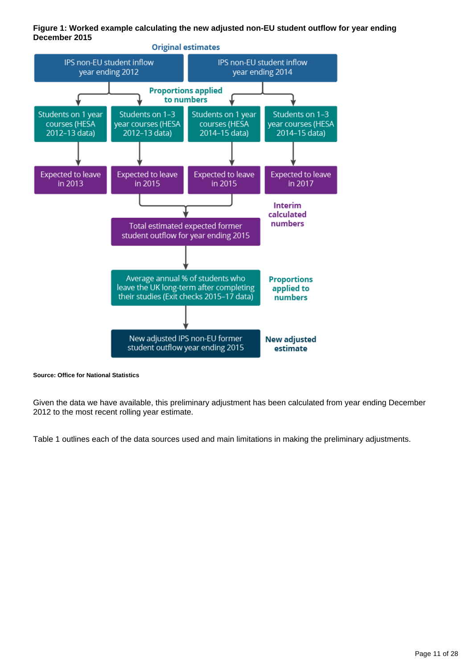#### **Figure 1: Worked example calculating the new adjusted non-EU student outflow for year ending December 2015**



**Source: Office for National Statistics**

Given the data we have available, this preliminary adjustment has been calculated from year ending December 2012 to the most recent rolling year estimate.

Table 1 outlines each of the data sources used and main limitations in making the preliminary adjustments.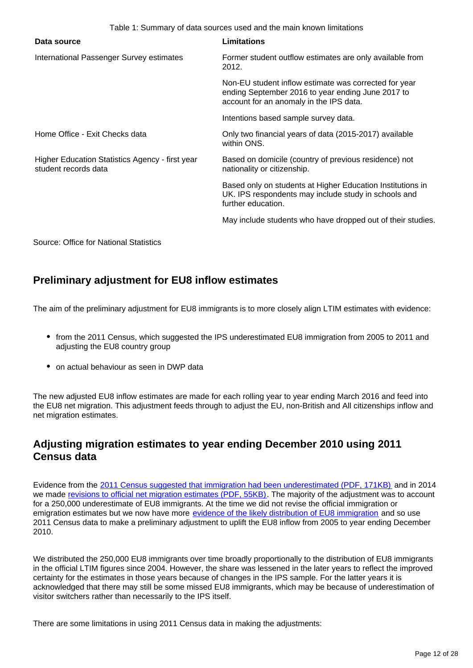|                                                                         | Table T. Summary of data sources used and the main known ilmitations                                                                                  |
|-------------------------------------------------------------------------|-------------------------------------------------------------------------------------------------------------------------------------------------------|
| Data source                                                             | <b>Limitations</b>                                                                                                                                    |
| International Passenger Survey estimates                                | Former student outflow estimates are only available from<br>2012.                                                                                     |
|                                                                         | Non-EU student inflow estimate was corrected for year<br>ending September 2016 to year ending June 2017 to<br>account for an anomaly in the IPS data. |
|                                                                         | Intentions based sample survey data.                                                                                                                  |
| Home Office - Exit Checks data                                          | Only two financial years of data (2015-2017) available<br>within ONS.                                                                                 |
| Higher Education Statistics Agency - first year<br>student records data | Based on domicile (country of previous residence) not<br>nationality or citizenship.                                                                  |
|                                                                         | Based only on students at Higher Education Institutions in<br>UK. IPS respondents may include study in schools and<br>further education.              |
|                                                                         | May include students who have dropped out of their studies.                                                                                           |
|                                                                         |                                                                                                                                                       |

Table 1: Summary of data sources used and the main known limitations

Source: Office for National Statistics

## **Preliminary adjustment for EU8 inflow estimates**

The aim of the preliminary adjustment for EU8 immigrants is to more closely align LTIM estimates with evidence:

- from the 2011 Census, which suggested the IPS underestimated EU8 immigration from 2005 to 2011 and adjusting the EU8 country group
- on actual behaviour as seen in DWP data

The new adjusted EU8 inflow estimates are made for each rolling year to year ending March 2016 and feed into the EU8 net migration. This adjustment feeds through to adjust the EU, non-British and All citizenships inflow and net migration estimates.

#### **Adjusting migration estimates to year ending December 2010 using 2011 Census data**

Evidence from the [2011 Census suggested that immigration had been underestimated \(PDF, 171KB\)](https://www.ons.gov.uk/ons/guide-method/method-quality/specific/population-and-migration/population-statistics-research-unit--psru-/methods-used-to-revise-the-national-population-estimates-for-mid-2002-to-mid-2010.pdf) and in 2014 we made [revisions to official net migration estimates \(PDF, 55KB\)](https://www.ons.gov.uk/file?uri=/peoplepopulationandcommunity/populationandmigration/internationalmigration/methodologies/internationalmigrationmethodology/guidancenotenetinternationalmigrationrevisionstcm77363767.pdf). The majority of the adjustment was to account for a 250,000 underestimate of EU8 immigrants. At the time we did not revise the official immigration or emigration estimates but we now have more [evidence of the likely distribution of EU8 immigration](https://www.ons.gov.uk/peoplepopulationandcommunity/populationandmigration/internationalmigration/articles/understandingdifferentmigrationdatasources/augustprogressreport) and so use 2011 Census data to make a preliminary adjustment to uplift the EU8 inflow from 2005 to year ending December 2010.

We distributed the 250,000 EU8 immigrants over time broadly proportionally to the distribution of EU8 immigrants in the official LTIM figures since 2004. However, the share was lessened in the later years to reflect the improved certainty for the estimates in those years because of changes in the IPS sample. For the latter years it is acknowledged that there may still be some missed EU8 immigrants, which may be because of underestimation of visitor switchers rather than necessarily to the IPS itself.

There are some limitations in using 2011 Census data in making the adjustments: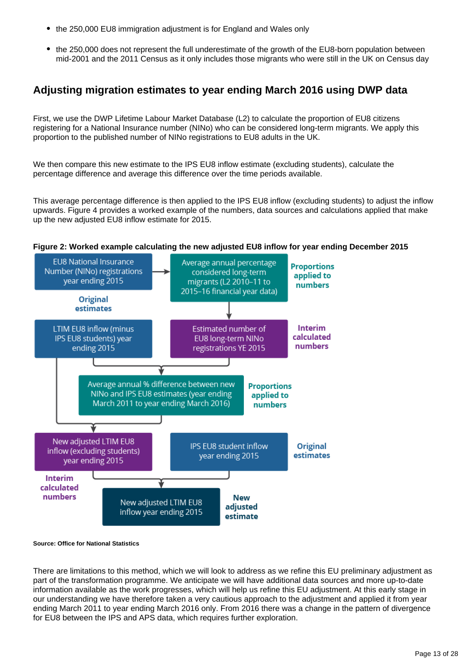- the 250,000 EU8 immigration adjustment is for England and Wales only
- the 250,000 does not represent the full underestimate of the growth of the EU8-born population between mid-2001 and the 2011 Census as it only includes those migrants who were still in the UK on Census day

#### **Adjusting migration estimates to year ending March 2016 using DWP data**

First, we use the DWP Lifetime Labour Market Database (L2) to calculate the proportion of EU8 citizens registering for a National Insurance number (NINo) who can be considered long-term migrants. We apply this proportion to the published number of NINo registrations to EU8 adults in the UK.

We then compare this new estimate to the IPS EU8 inflow estimate (excluding students), calculate the percentage difference and average this difference over the time periods available.

This average percentage difference is then applied to the IPS EU8 inflow (excluding students) to adjust the inflow upwards. Figure 4 provides a worked example of the numbers, data sources and calculations applied that make up the new adjusted EU8 inflow estimate for 2015.



**Figure 2: Worked example calculating the new adjusted EU8 inflow for year ending December 2015**

**Source: Office for National Statistics**

There are limitations to this method, which we will look to address as we refine this EU preliminary adjustment as part of the transformation programme. We anticipate we will have additional data sources and more up-to-date information available as the work progresses, which will help us refine this EU adjustment. At this early stage in our understanding we have therefore taken a very cautious approach to the adjustment and applied it from year ending March 2011 to year ending March 2016 only. From 2016 there was a change in the pattern of divergence for EU8 between the IPS and APS data, which requires further exploration.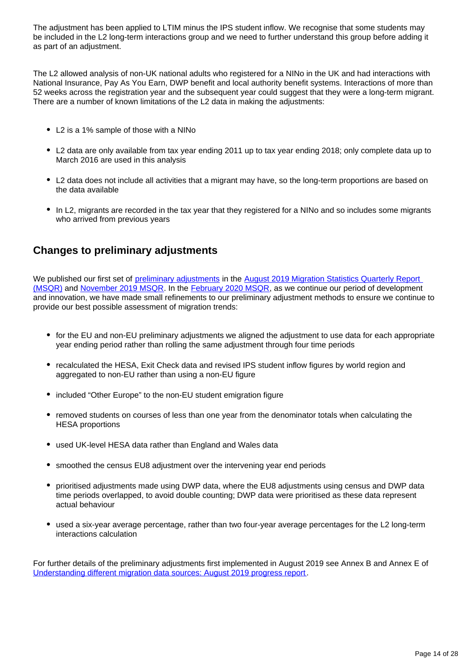The adjustment has been applied to LTIM minus the IPS student inflow. We recognise that some students may be included in the L2 long-term interactions group and we need to further understand this group before adding it as part of an adjustment.

The L2 allowed analysis of non-UK national adults who registered for a NINo in the UK and had interactions with National Insurance, Pay As You Earn, DWP benefit and local authority benefit systems. Interactions of more than 52 weeks across the registration year and the subsequent year could suggest that they were a long-term migrant. There are a number of known limitations of the L2 data in making the adjustments:

- L2 is a 1% sample of those with a NINo
- L2 data are only available from tax year ending 2011 up to tax year ending 2018; only complete data up to March 2016 are used in this analysis
- L2 data does not include all activities that a migrant may have, so the long-term proportions are based on the data available
- In L2, migrants are recorded in the tax year that they registered for a NINo and so includes some migrants who arrived from previous years

## **Changes to preliminary adjustments**

We published our first set of [preliminary adjustments](https://www.ons.gov.uk/peoplepopulationandcommunity/populationandmigration/internationalmigration/articles/understandingdifferentmigrationdatasources/augustprogressreport) in the August 2019 Migration Statistics Quarterly Report [\(MSQR\)](https://www.ons.gov.uk/peoplepopulationandcommunity/populationandmigration/internationalmigration/bulletins/migrationstatisticsquarterlyreport/august2019#making-the-best-possible-assessment-of-migration-using-all-available-sources) and [November 2019 MSQR](https://www.ons.gov.uk/peoplepopulationandcommunity/populationandmigration/internationalmigration/bulletins/migrationstatisticsquarterlyreport/november2019). In the [February 2020 MSQR](https://www.ons.gov.uk/peoplepopulationandcommunity/populationandmigration/internationalmigration/bulletins/migrationstatisticsquarterlyreport/february2020), as we continue our period of development and innovation, we have made small refinements to our preliminary adjustment methods to ensure we continue to provide our best possible assessment of migration trends:

- for the EU and non-EU preliminary adjustments we aligned the adjustment to use data for each appropriate year ending period rather than rolling the same adjustment through four time periods
- recalculated the HESA, Exit Check data and revised IPS student inflow figures by world region and aggregated to non-EU rather than using a non-EU figure
- included "Other Europe" to the non-EU student emigration figure
- removed students on courses of less than one year from the denominator totals when calculating the HESA proportions
- used UK-level HESA data rather than England and Wales data
- smoothed the census EU8 adjustment over the intervening year end periods
- prioritised adjustments made using DWP data, where the EU8 adjustments using census and DWP data time periods overlapped, to avoid double counting; DWP data were prioritised as these data represent actual behaviour
- used a six-year average percentage, rather than two four-year average percentages for the L2 long-term interactions calculation

For further details of the preliminary adjustments first implemented in August 2019 see Annex B and Annex E of [Understanding different migration data sources: August 2019 progress report.](https://www.ons.gov.uk/peoplepopulationandcommunity/populationandmigration/internationalmigration/articles/understandingdifferentmigrationdatasources/augustprogressreport)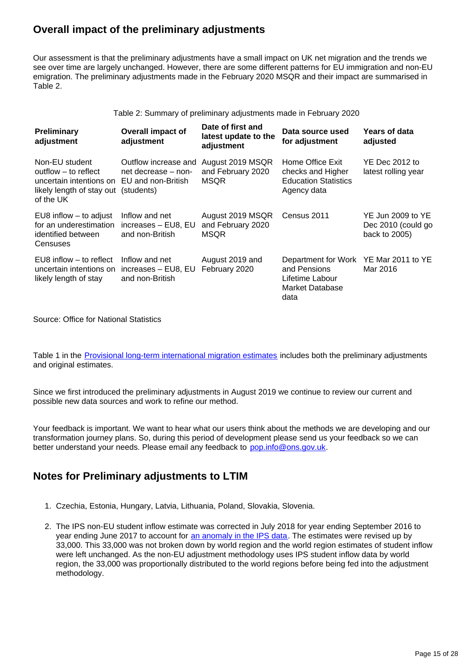#### **Overall impact of the preliminary adjustments**

Our assessment is that the preliminary adjustments have a small impact on UK net migration and the trends we see over time are largely unchanged. However, there are some different patterns for EU immigration and non-EU emigration. The preliminary adjustments made in the February 2020 MSQR and their impact are summarised in Table 2.

Table 2: Summary of preliminary adjustments made in February 2020

| <b>Preliminary</b><br>adjustment                                                                            | <b>Overall impact of</b><br>adjustment                                          | Date of first and<br>latest update to the<br>adjustment | Data source used<br>for adjustment                                                  | Years of data<br>adjusted                                |
|-------------------------------------------------------------------------------------------------------------|---------------------------------------------------------------------------------|---------------------------------------------------------|-------------------------------------------------------------------------------------|----------------------------------------------------------|
| Non-EU student<br>outflow – to reflect<br>uncertain intentions on<br>likely length of stay out<br>of the UK | Outflow increase and<br>net decrease – non-<br>EU and non-British<br>(students) | August 2019 MSQR<br>and February 2020<br><b>MSQR</b>    | Home Office Exit<br>checks and Higher<br><b>Education Statistics</b><br>Agency data | <b>YE Dec 2012 to</b><br>latest rolling year             |
| $EUB$ inflow $-$ to adjust<br>for an underestimation<br>identified between<br>Censuses                      | Inflow and net<br>increases - EU8, EU<br>and non-British                        | August 2019 MSQR<br>and February 2020<br><b>MSQR</b>    | Census 2011                                                                         | YE Jun 2009 to YE<br>Dec 2010 (could go<br>back to 2005) |
| $EUB$ inflow $-$ to reflect<br>uncertain intentions on<br>likely length of stay                             | Inflow and net<br>increases - EU8, EU<br>and non-British                        | August 2019 and<br>February 2020                        | Department for Work<br>and Pensions<br>Lifetime Labour<br>Market Database<br>data   | <b>YE Mar 2011 to YE</b><br>Mar 2016                     |

Source: Office for National Statistics

Table 1 in the [Provisional long-term international migration estimates](https://www.ons.gov.uk/peoplepopulationandcommunity/populationandmigration/internationalmigration/datasets/migrationstatisticsquarterlyreportprovisionallongterminternationalmigrationltimestimates) includes both the preliminary adjustments and original estimates.

Since we first introduced the preliminary adjustments in August 2019 we continue to review our current and possible new data sources and work to refine our method.

Your feedback is important. We want to hear what our users think about the methods we are developing and our transformation journey plans. So, during this period of development please send us your feedback so we can better understand your needs. Please email any feedback to pop.info@ons.gov.uk.

#### **Notes for Preliminary adjustments to LTIM**

- 1. Czechia, Estonia, Hungary, Latvia, Lithuania, Poland, Slovakia, Slovenia.
- 2. The IPS non-EU student inflow estimate was corrected in July 2018 for year ending September 2016 to year ending June 2017 to account for [an anomaly in the IPS data](https://www.ons.gov.uk/redir/eyJhbGciOiJIUzI1NiJ9.eyJpbmRleCI6MiwicGFnZVNpemUiOjEwLCJwYWdlIjoyLCJ1cmkiOiIvcGVvcGxlcG9wdWxhdGlvbmFuZGNvbW11bml0eS9wb3B1bGF0aW9uYW5kbWlncmF0aW9uL2ludGVybmF0aW9uYWxtaWdyYXRpb24vYXJ0aWNsZXMvcmVwb3J0b250aGVjb21wbGV4aXR5YW5kcXVhbGl0eW9maW50ZXJuYXRpb25hbG1pZ3JhdGlvbnN0YXRpc3RpY3MvanVseTIwMTgiLCJsaXN0VHlwZSI6InB1YmxpY2F0aW9ucyJ9.eD1WpTqpbbpCotdk9J1H-EKESpLhTZFqKOhzkQxv5Vg). The estimates were revised up by 33,000. This 33,000 was not broken down by world region and the world region estimates of student inflow were left unchanged. As the non-EU adjustment methodology uses IPS student inflow data by world region, the 33,000 was proportionally distributed to the world regions before being fed into the adjustment methodology.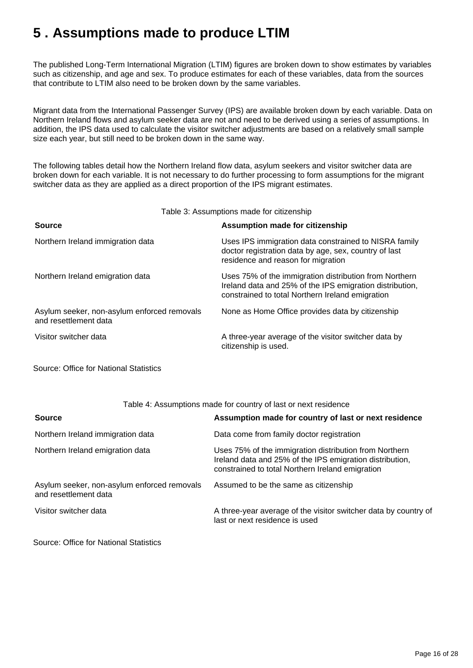# <span id="page-15-0"></span>**5 . Assumptions made to produce LTIM**

The published Long-Term International Migration (LTIM) figures are broken down to show estimates by variables such as citizenship, and age and sex. To produce estimates for each of these variables, data from the sources that contribute to LTIM also need to be broken down by the same variables.

Migrant data from the International Passenger Survey (IPS) are available broken down by each variable. Data on Northern Ireland flows and asylum seeker data are not and need to be derived using a series of assumptions. In addition, the IPS data used to calculate the visitor switcher adjustments are based on a relatively small sample size each year, but still need to be broken down in the same way.

The following tables detail how the Northern Ireland flow data, asylum seekers and visitor switcher data are broken down for each variable. It is not necessary to do further processing to form assumptions for the migrant switcher data as they are applied as a direct proportion of the IPS migrant estimates.

Table 3: Assumptions made for citizenship

| <b>Source</b>                                                        | Assumption made for citizenship                                                                                                                                        |
|----------------------------------------------------------------------|------------------------------------------------------------------------------------------------------------------------------------------------------------------------|
| Northern Ireland immigration data                                    | Uses IPS immigration data constrained to NISRA family<br>doctor registration data by age, sex, country of last<br>residence and reason for migration                   |
| Northern Ireland emigration data                                     | Uses 75% of the immigration distribution from Northern<br>Ireland data and 25% of the IPS emigration distribution,<br>constrained to total Northern Ireland emigration |
| Asylum seeker, non-asylum enforced removals<br>and resettlement data | None as Home Office provides data by citizenship                                                                                                                       |
| Visitor switcher data                                                | A three-year average of the visitor switcher data by<br>citizenship is used.                                                                                           |

Source: Office for National Statistics

Table 4: Assumptions made for country of last or next residence

| <b>Source</b>                                                        | Assumption made for country of last or next residence                                                                                                                  |
|----------------------------------------------------------------------|------------------------------------------------------------------------------------------------------------------------------------------------------------------------|
| Northern Ireland immigration data                                    | Data come from family doctor registration                                                                                                                              |
| Northern Ireland emigration data                                     | Uses 75% of the immigration distribution from Northern<br>Ireland data and 25% of the IPS emigration distribution,<br>constrained to total Northern Ireland emigration |
| Asylum seeker, non-asylum enforced removals<br>and resettlement data | Assumed to be the same as citizenship                                                                                                                                  |
| Visitor switcher data                                                | A three-year average of the visitor switcher data by country of<br>last or next residence is used                                                                      |

Source: Office for National Statistics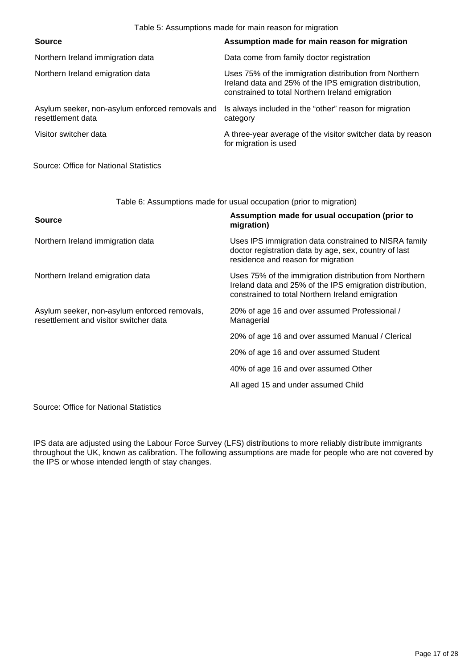|                                                                      | Table 5: Assumptions made for main reason for migration                                                                                                                |
|----------------------------------------------------------------------|------------------------------------------------------------------------------------------------------------------------------------------------------------------------|
| <b>Source</b>                                                        | Assumption made for main reason for migration                                                                                                                          |
| Northern Ireland immigration data                                    | Data come from family doctor registration                                                                                                                              |
| Northern Ireland emigration data                                     | Uses 75% of the immigration distribution from Northern<br>Ireland data and 25% of the IPS emigration distribution,<br>constrained to total Northern Ireland emigration |
| Asylum seeker, non-asylum enforced removals and<br>resettlement data | Is always included in the "other" reason for migration<br>category                                                                                                     |
| Visitor switcher data                                                | A three-year average of the visitor switcher data by reason<br>for migration is used                                                                                   |

Source: Office for National Statistics

| <b>Source</b>                                                                          | Assumption made for usual occupation (prior to<br>migration)                                                                                                           |
|----------------------------------------------------------------------------------------|------------------------------------------------------------------------------------------------------------------------------------------------------------------------|
| Northern Ireland immigration data                                                      | Uses IPS immigration data constrained to NISRA family<br>doctor registration data by age, sex, country of last<br>residence and reason for migration                   |
| Northern Ireland emigration data                                                       | Uses 75% of the immigration distribution from Northern<br>Ireland data and 25% of the IPS emigration distribution,<br>constrained to total Northern Ireland emigration |
| Asylum seeker, non-asylum enforced removals,<br>resettlement and visitor switcher data | 20% of age 16 and over assumed Professional /<br>Managerial                                                                                                            |
|                                                                                        | 20% of age 16 and over assumed Manual / Clerical                                                                                                                       |
|                                                                                        | 20% of age 16 and over assumed Student                                                                                                                                 |
|                                                                                        | 40% of age 16 and over assumed Other                                                                                                                                   |
|                                                                                        | All aged 15 and under assumed Child                                                                                                                                    |

Source: Office for National Statistics

IPS data are adjusted using the Labour Force Survey (LFS) distributions to more reliably distribute immigrants throughout the UK, known as calibration. The following assumptions are made for people who are not covered by the IPS or whose intended length of stay changes.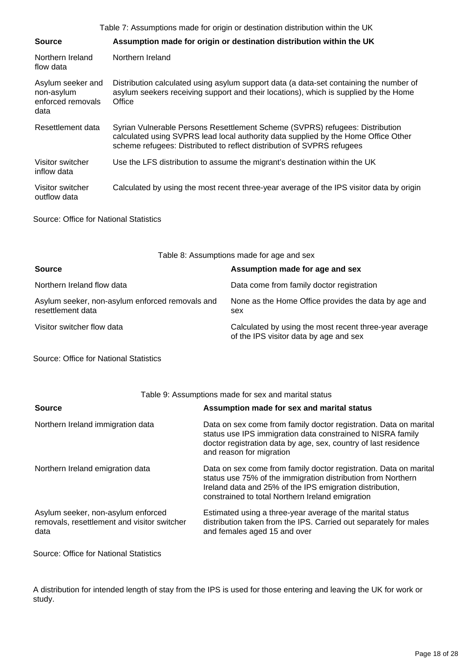| <b>Source</b>                                                | Assumption made for origin or destination distribution within the UK                                                                                                                                                                         |
|--------------------------------------------------------------|----------------------------------------------------------------------------------------------------------------------------------------------------------------------------------------------------------------------------------------------|
| Northern Ireland<br>flow data                                | Northern Ireland                                                                                                                                                                                                                             |
| Asylum seeker and<br>non-asylum<br>enforced removals<br>data | Distribution calculated using asylum support data (a data-set containing the number of<br>asylum seekers receiving support and their locations), which is supplied by the Home<br>Office                                                     |
| Resettlement data                                            | Syrian Vulnerable Persons Resettlement Scheme (SVPRS) refugees: Distribution<br>calculated using SVPRS lead local authority data supplied by the Home Office Other<br>scheme refugees: Distributed to reflect distribution of SVPRS refugees |
| Visitor switcher<br>inflow data                              | Use the LFS distribution to assume the migrant's destination within the UK                                                                                                                                                                   |
| Visitor switcher<br>outflow data                             | Calculated by using the most recent three-year average of the IPS visitor data by origin                                                                                                                                                     |

Source: Office for National Statistics

| Table 8: Assumptions made for age and sex                            |                                                                                                  |  |
|----------------------------------------------------------------------|--------------------------------------------------------------------------------------------------|--|
| <b>Source</b>                                                        | Assumption made for age and sex                                                                  |  |
| Northern Ireland flow data                                           | Data come from family doctor registration                                                        |  |
| Asylum seeker, non-asylum enforced removals and<br>resettlement data | None as the Home Office provides the data by age and<br>sex                                      |  |
| Visitor switcher flow data                                           | Calculated by using the most recent three-year average<br>of the IPS visitor data by age and sex |  |

Source: Office for National Statistics

Table 9: Assumptions made for sex and marital status

| <b>Source</b>                                                                             | Assumption made for sex and marital status                                                                                                                                                                                                        |
|-------------------------------------------------------------------------------------------|---------------------------------------------------------------------------------------------------------------------------------------------------------------------------------------------------------------------------------------------------|
| Northern Ireland immigration data                                                         | Data on sex come from family doctor registration. Data on marital<br>status use IPS immigration data constrained to NISRA family<br>doctor registration data by age, sex, country of last residence<br>and reason for migration                   |
| Northern Ireland emigration data                                                          | Data on sex come from family doctor registration. Data on marital<br>status use 75% of the immigration distribution from Northern<br>Ireland data and 25% of the IPS emigration distribution,<br>constrained to total Northern Ireland emigration |
| Asylum seeker, non-asylum enforced<br>removals, resettlement and visitor switcher<br>data | Estimated using a three-year average of the marital status<br>distribution taken from the IPS. Carried out separately for males<br>and females aged 15 and over                                                                                   |

Source: Office for National Statistics

A distribution for intended length of stay from the IPS is used for those entering and leaving the UK for work or study.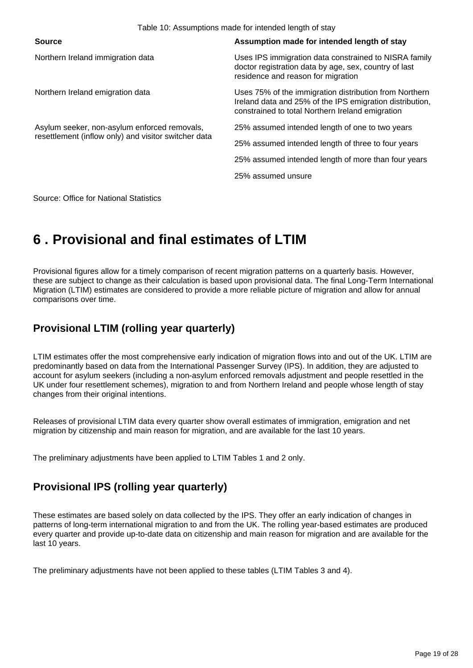|                                                                                                      | Table 10: Assumptions made for intended length of stay                                                                                                                 |
|------------------------------------------------------------------------------------------------------|------------------------------------------------------------------------------------------------------------------------------------------------------------------------|
| <b>Source</b>                                                                                        | Assumption made for intended length of stay                                                                                                                            |
| Northern Ireland immigration data                                                                    | Uses IPS immigration data constrained to NISRA family<br>doctor registration data by age, sex, country of last<br>residence and reason for migration                   |
| Northern Ireland emigration data                                                                     | Uses 75% of the immigration distribution from Northern<br>Ireland data and 25% of the IPS emigration distribution,<br>constrained to total Northern Ireland emigration |
| Asylum seeker, non-asylum enforced removals,<br>resettlement (inflow only) and visitor switcher data | 25% assumed intended length of one to two years                                                                                                                        |
|                                                                                                      | 25% assumed intended length of three to four years                                                                                                                     |
|                                                                                                      | 25% assumed intended length of more than four years                                                                                                                    |
|                                                                                                      | 25% assumed unsure                                                                                                                                                     |
|                                                                                                      |                                                                                                                                                                        |

Source: Office for National Statistics

# <span id="page-18-0"></span>**6 . Provisional and final estimates of LTIM**

Provisional figures allow for a timely comparison of recent migration patterns on a quarterly basis. However, these are subject to change as their calculation is based upon provisional data. The final Long-Term International Migration (LTIM) estimates are considered to provide a more reliable picture of migration and allow for annual comparisons over time.

## **Provisional LTIM (rolling year quarterly)**

LTIM estimates offer the most comprehensive early indication of migration flows into and out of the UK. LTIM are predominantly based on data from the International Passenger Survey (IPS). In addition, they are adjusted to account for asylum seekers (including a non-asylum enforced removals adjustment and people resettled in the UK under four resettlement schemes), migration to and from Northern Ireland and people whose length of stay changes from their original intentions.

Releases of provisional LTIM data every quarter show overall estimates of immigration, emigration and net migration by citizenship and main reason for migration, and are available for the last 10 years.

The preliminary adjustments have been applied to LTIM Tables 1 and 2 only.

#### **Provisional IPS (rolling year quarterly)**

These estimates are based solely on data collected by the IPS. They offer an early indication of changes in patterns of long-term international migration to and from the UK. The rolling year-based estimates are produced every quarter and provide up-to-date data on citizenship and main reason for migration and are available for the last 10 years.

The preliminary adjustments have not been applied to these tables (LTIM Tables 3 and 4).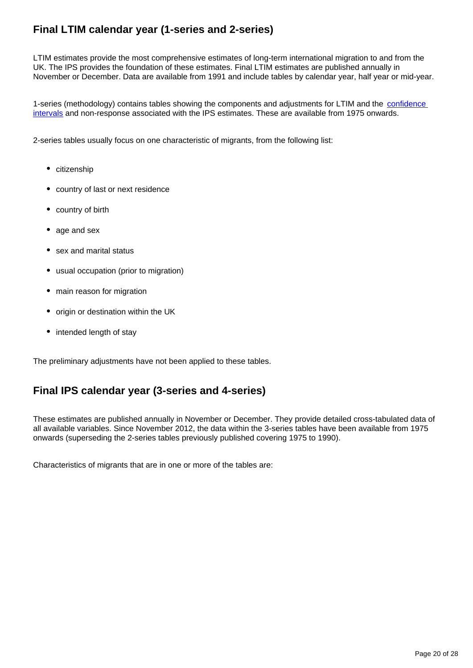## **Final LTIM calendar year (1-series and 2-series)**

LTIM estimates provide the most comprehensive estimates of long-term international migration to and from the UK. The IPS provides the foundation of these estimates. Final LTIM estimates are published annually in November or December. Data are available from 1991 and include tables by calendar year, half year or mid-year.

1-series (methodology) contains tables showing the components and adjustments for LTIM and the [confidence](https://www.ons.gov.uk/methodology/methodologytopicsandstatisticalconcepts/uncertaintyandhowwemeasureit#confidence-interval)  [intervals](https://www.ons.gov.uk/methodology/methodologytopicsandstatisticalconcepts/uncertaintyandhowwemeasureit#confidence-interval) and non-response associated with the IPS estimates. These are available from 1975 onwards.

2-series tables usually focus on one characteristic of migrants, from the following list:

- citizenship
- country of last or next residence
- country of birth
- age and sex
- sex and marital status
- usual occupation (prior to migration)
- main reason for migration
- origin or destination within the UK
- intended length of stay

The preliminary adjustments have not been applied to these tables.

#### **Final IPS calendar year (3-series and 4-series)**

These estimates are published annually in November or December. They provide detailed cross-tabulated data of all available variables. Since November 2012, the data within the 3-series tables have been available from 1975 onwards (superseding the 2-series tables previously published covering 1975 to 1990).

Characteristics of migrants that are in one or more of the tables are: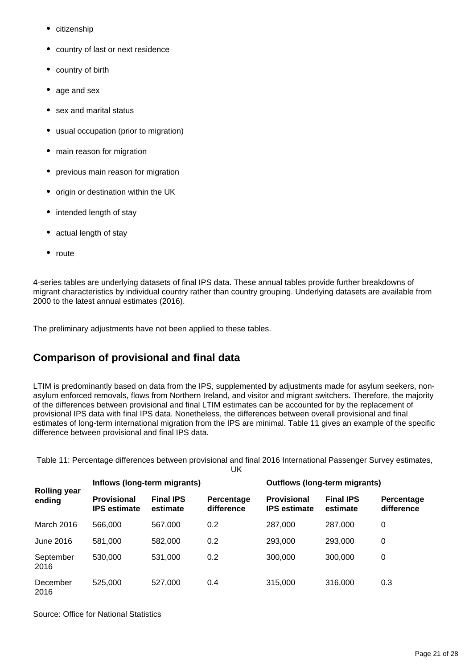- citizenship
- country of last or next residence
- country of birth
- age and sex
- sex and marital status
- usual occupation (prior to migration)
- main reason for migration
- previous main reason for migration
- origin or destination within the UK
- intended length of stay
- actual length of stay
- route

4-series tables are underlying datasets of final IPS data. These annual tables provide further breakdowns of migrant characteristics by individual country rather than country grouping. Underlying datasets are available from 2000 to the latest annual estimates (2016).

The preliminary adjustments have not been applied to these tables.

## **Comparison of provisional and final data**

LTIM is predominantly based on data from the IPS, supplemented by adjustments made for asylum seekers, nonasylum enforced removals, flows from Northern Ireland, and visitor and migrant switchers. Therefore, the majority of the differences between provisional and final LTIM estimates can be accounted for by the replacement of provisional IPS data with final IPS data. Nonetheless, the differences between overall provisional and final estimates of long-term international migration from the IPS are minimal. Table 11 gives an example of the specific difference between provisional and final IPS data.

Table 11: Percentage differences between provisional and final 2016 International Passenger Survey estimates,

| ٠<br>×<br>۰. |  |
|--------------|--|

| <b>Rolling year</b><br>ending | Inflows (long-term migrants)              |                              |                          | <b>Outflows (long-term migrants)</b>      |                              |                          |
|-------------------------------|-------------------------------------------|------------------------------|--------------------------|-------------------------------------------|------------------------------|--------------------------|
|                               | <b>Provisional</b><br><b>IPS</b> estimate | <b>Final IPS</b><br>estimate | Percentage<br>difference | <b>Provisional</b><br><b>IPS</b> estimate | <b>Final IPS</b><br>estimate | Percentage<br>difference |
| March 2016                    | 566,000                                   | 567,000                      | 0.2                      | 287,000                                   | 287,000                      | 0                        |
| June 2016                     | 581,000                                   | 582,000                      | 0.2                      | 293,000                                   | 293,000                      | 0                        |
| September<br>2016             | 530,000                                   | 531,000                      | 0.2                      | 300,000                                   | 300,000                      | 0                        |
| December<br>2016              | 525,000                                   | 527,000                      | 0.4                      | 315,000                                   | 316,000                      | 0.3                      |

Source: Office for National Statistics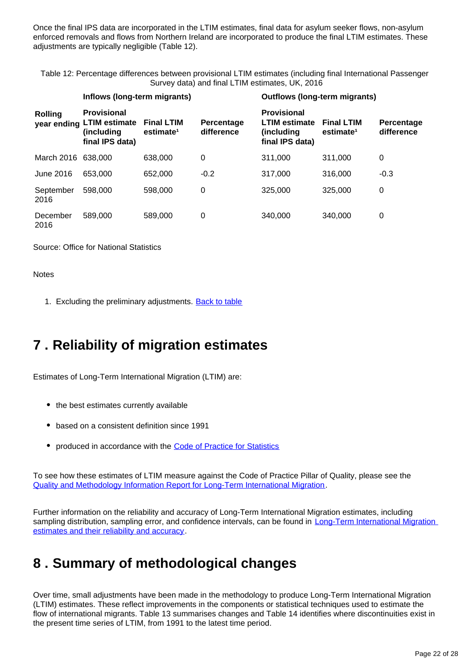Once the final IPS data are incorporated in the LTIM estimates, final data for asylum seeker flows, non-asylum enforced removals and flows from Northern Ireland are incorporated to produce the final LTIM estimates. These adjustments are typically negligible (Table 12).

Table 12: Percentage differences between provisional LTIM estimates (including final International Passenger Survey data) and final LTIM estimates, UK, 2016

|                               | Inflows (long-term migrants)                                                |                                            |                          | <b>Outflows (long-term migrants)</b>                                         |                                            |                          |
|-------------------------------|-----------------------------------------------------------------------------|--------------------------------------------|--------------------------|------------------------------------------------------------------------------|--------------------------------------------|--------------------------|
| <b>Rolling</b><br>year ending | <b>Provisional</b><br><b>LTIM</b> estimate<br>(including<br>final IPS data) | <b>Final LTIM</b><br>estimate <sup>1</sup> | Percentage<br>difference | <b>Provisional</b><br><b>LTIM estimate</b><br>(including)<br>final IPS data) | <b>Final LTIM</b><br>estimate <sup>1</sup> | Percentage<br>difference |
| March 2016                    | 638.000                                                                     | 638,000                                    | 0                        | 311,000                                                                      | 311,000                                    | 0                        |
| June 2016                     | 653,000                                                                     | 652,000                                    | $-0.2$                   | 317,000                                                                      | 316,000                                    | $-0.3$                   |
| September<br>2016             | 598,000                                                                     | 598,000                                    | 0                        | 325,000                                                                      | 325,000                                    | 0                        |
| December<br>2016              | 589,000                                                                     | 589,000                                    | 0                        | 340,000                                                                      | 340,000                                    | 0                        |

Source: Office for National Statistics

#### **Notes**

1. Excluding the preliminary adjustments. **[Back to table](#page-0-0)** 

# <span id="page-21-0"></span>**7 . Reliability of migration estimates**

Estimates of Long-Term International Migration (LTIM) are:

- the best estimates currently available
- based on a consistent definition since 1991
- produced in accordance with the [Code of Practice for Statistics](https://www.statisticsauthority.gov.uk/code-of-practice/)

To see how these estimates of LTIM measure against the Code of Practice Pillar of Quality, please see the [Quality and Methodology Information Report for Long-Term International Migration.](https://www.ons.gov.uk/peoplepopulationandcommunity/populationandmigration/populationestimates/methodologies/longterminternationalmigrationqmi)

Further information on the reliability and accuracy of Long-Term International Migration estimates, including sampling distribution, sampling error, and confidence intervals, can be found in Long-Term International Migration [estimates and their reliability and accuracy.](https://www.ons.gov.uk/peoplepopulationandcommunity/populationandmigration/internationalmigration/methodologies/longterminternationalmigrationestimatesandtheirreliabilityandaccuracy)

## <span id="page-21-1"></span>**8 . Summary of methodological changes**

Over time, small adjustments have been made in the methodology to produce Long-Term International Migration (LTIM) estimates. These reflect improvements in the components or statistical techniques used to estimate the flow of international migrants. Table 13 summarises changes and Table 14 identifies where discontinuities exist in the present time series of LTIM, from 1991 to the latest time period.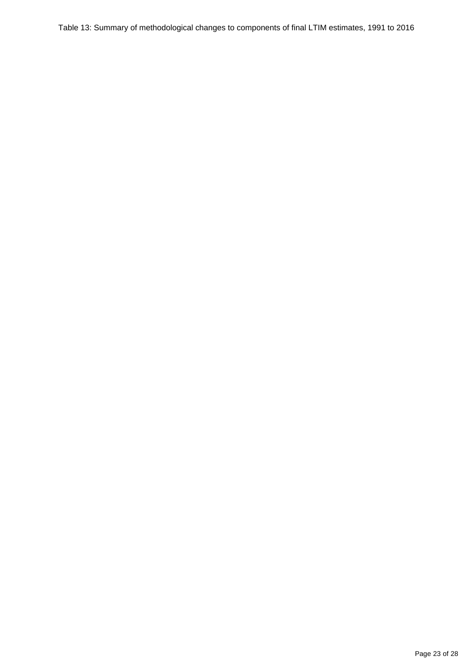Table 13: Summary of methodological changes to components of final LTIM estimates, 1991 to 2016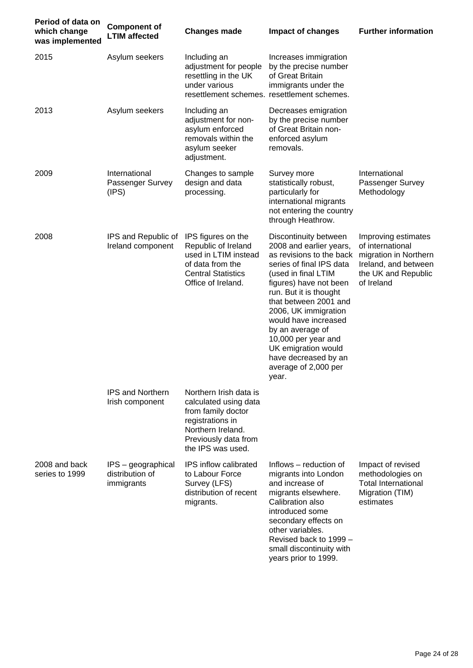| Period of data on<br>which change<br>was implemented | <b>Component of</b><br><b>LTIM</b> affected         | <b>Changes made</b>                                                                                                                                         | <b>Impact of changes</b>                                                                                                                                                                                                                                                                                                                                                                | <b>Further information</b>                                                                                                    |
|------------------------------------------------------|-----------------------------------------------------|-------------------------------------------------------------------------------------------------------------------------------------------------------------|-----------------------------------------------------------------------------------------------------------------------------------------------------------------------------------------------------------------------------------------------------------------------------------------------------------------------------------------------------------------------------------------|-------------------------------------------------------------------------------------------------------------------------------|
| 2015                                                 | Asylum seekers                                      | Including an<br>adjustment for people<br>resettling in the UK<br>under various                                                                              | Increases immigration<br>by the precise number<br>of Great Britain<br>immigrants under the<br>resettlement schemes. resettlement schemes.                                                                                                                                                                                                                                               |                                                                                                                               |
| 2013                                                 | Asylum seekers                                      | Including an<br>adjustment for non-<br>asylum enforced<br>removals within the<br>asylum seeker<br>adjustment.                                               | Decreases emigration<br>by the precise number<br>of Great Britain non-<br>enforced asylum<br>removals.                                                                                                                                                                                                                                                                                  |                                                                                                                               |
| 2009                                                 | International<br>Passenger Survey<br>(IPS)          | Changes to sample<br>design and data<br>processing.                                                                                                         | Survey more<br>statistically robust,<br>particularly for<br>international migrants<br>not entering the country<br>through Heathrow.                                                                                                                                                                                                                                                     | International<br>Passenger Survey<br>Methodology                                                                              |
| 2008                                                 | IPS and Republic of<br>Ireland component            | IPS figures on the<br>Republic of Ireland<br>used in LTIM instead<br>of data from the<br><b>Central Statistics</b><br>Office of Ireland.                    | Discontinuity between<br>2008 and earlier years,<br>as revisions to the back<br>series of final IPS data<br>(used in final LTIM<br>figures) have not been<br>run. But it is thought<br>that between 2001 and<br>2006, UK immigration<br>would have increased<br>by an average of<br>10,000 per year and<br>UK emigration would<br>have decreased by an<br>average of 2,000 per<br>year. | Improving estimates<br>of international<br>migration in Northern<br>Ireland, and between<br>the UK and Republic<br>of Ireland |
|                                                      | <b>IPS and Northern</b><br>Irish component          | Northern Irish data is<br>calculated using data<br>from family doctor<br>registrations in<br>Northern Ireland.<br>Previously data from<br>the IPS was used. |                                                                                                                                                                                                                                                                                                                                                                                         |                                                                                                                               |
| 2008 and back<br>series to 1999                      | IPS - geographical<br>distribution of<br>immigrants | IPS inflow calibrated<br>to Labour Force<br>Survey (LFS)<br>distribution of recent<br>migrants.                                                             | Inflows – reduction of<br>migrants into London<br>and increase of<br>migrants elsewhere.<br>Calibration also<br>introduced some<br>secondary effects on<br>other variables.<br>Revised back to 1999 -<br>small discontinuity with<br>years prior to 1999.                                                                                                                               | Impact of revised<br>methodologies on<br><b>Total International</b><br>Migration (TIM)<br>estimates                           |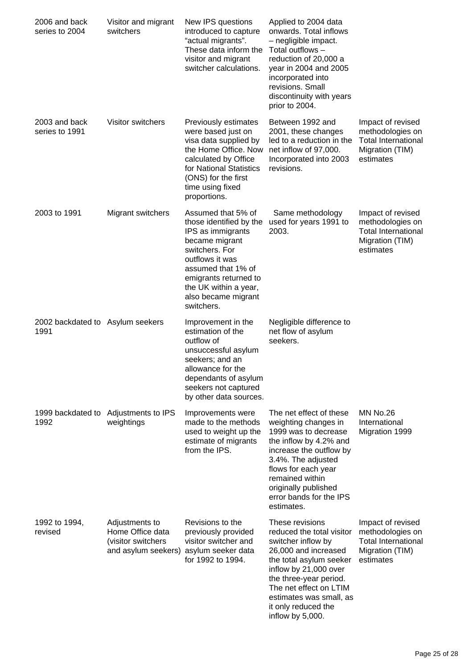| 2006 and back<br>series to 2004          | Visitor and migrant<br>switchers                                                | New IPS questions<br>introduced to capture<br>"actual migrants".<br>These data inform the<br>visitor and migrant<br>switcher calculations.                                                                                             | Applied to 2004 data<br>onwards. Total inflows<br>- negligible impact.<br>Total outflows -<br>reduction of 20,000 a<br>year in 2004 and 2005<br>incorporated into<br>revisions. Small<br>discontinuity with years<br>prior to 2004.                                      |                                                                                                     |
|------------------------------------------|---------------------------------------------------------------------------------|----------------------------------------------------------------------------------------------------------------------------------------------------------------------------------------------------------------------------------------|--------------------------------------------------------------------------------------------------------------------------------------------------------------------------------------------------------------------------------------------------------------------------|-----------------------------------------------------------------------------------------------------|
| 2003 and back<br>series to 1991          | Visitor switchers                                                               | Previously estimates<br>were based just on<br>visa data supplied by<br>the Home Office. Now<br>calculated by Office<br>for National Statistics<br>(ONS) for the first<br>time using fixed<br>proportions.                              | Between 1992 and<br>2001, these changes<br>led to a reduction in the<br>net inflow of 97,000.<br>Incorporated into 2003<br>revisions.                                                                                                                                    | Impact of revised<br>methodologies on<br><b>Total International</b><br>Migration (TIM)<br>estimates |
| 2003 to 1991                             | Migrant switchers                                                               | Assumed that 5% of<br>those identified by the<br>IPS as immigrants<br>became migrant<br>switchers. For<br>outflows it was<br>assumed that 1% of<br>emigrants returned to<br>the UK within a year,<br>also became migrant<br>switchers. | Same methodology<br>used for years 1991 to<br>2003.                                                                                                                                                                                                                      | Impact of revised<br>methodologies on<br><b>Total International</b><br>Migration (TIM)<br>estimates |
| 2002 backdated to Asylum seekers<br>1991 |                                                                                 | Improvement in the<br>estimation of the<br>outflow of<br>unsuccessful asylum<br>seekers; and an<br>allowance for the<br>dependants of asylum<br>seekers not captured<br>by other data sources.                                         | Negligible difference to<br>net flow of asylum<br>seekers.                                                                                                                                                                                                               |                                                                                                     |
| 1999 backdated to<br>1992                | Adjustments to IPS<br>weightings                                                | Improvements were<br>made to the methods<br>used to weight up the<br>estimate of migrants<br>from the IPS.                                                                                                                             | The net effect of these<br>weighting changes in<br>1999 was to decrease<br>the inflow by 4.2% and<br>increase the outflow by<br>3.4%. The adjusted<br>flows for each year<br>remained within<br>originally published<br>error bands for the IPS<br>estimates.            | <b>MN No.26</b><br>International<br>Migration 1999                                                  |
| 1992 to 1994,<br>revised                 | Adjustments to<br>Home Office data<br>(visitor switchers<br>and asylum seekers) | Revisions to the<br>previously provided<br>visitor switcher and<br>asylum seeker data<br>for 1992 to 1994.                                                                                                                             | These revisions<br>reduced the total visitor<br>switcher inflow by<br>26,000 and increased<br>the total asylum seeker<br>inflow by 21,000 over<br>the three-year period.<br>The net effect on LTIM<br>estimates was small, as<br>it only reduced the<br>inflow by 5,000. | Impact of revised<br>methodologies on<br><b>Total International</b><br>Migration (TIM)<br>estimates |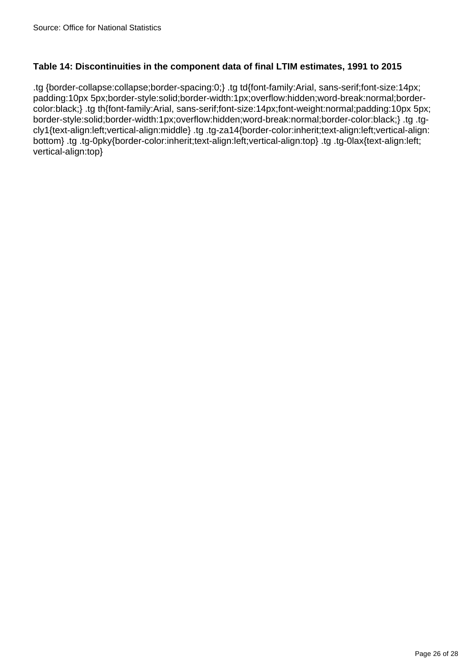#### **Table 14: Discontinuities in the component data of final LTIM estimates, 1991 to 2015**

.tg {border-collapse:collapse;border-spacing:0;} .tg td{font-family:Arial, sans-serif;font-size:14px; padding:10px 5px;border-style:solid;border-width:1px;overflow:hidden;word-break:normal;bordercolor:black;} .tg th{font-family:Arial, sans-serif;font-size:14px;font-weight:normal;padding:10px 5px; border-style:solid;border-width:1px;overflow:hidden;word-break:normal;border-color:black;} .tg .tgcly1{text-align:left;vertical-align:middle} .tg .tg-za14{border-color:inherit;text-align:left;vertical-align: bottom} .tg .tg-0pky{border-color:inherit;text-align:left;vertical-align:top} .tg .tg-0lax{text-align:left; vertical-align:top}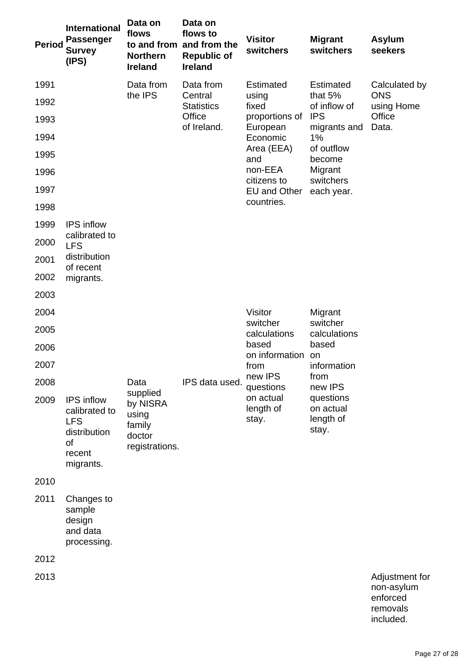| <b>Period</b> | <b>International</b><br><b>Passenger</b><br><b>Survey</b><br>(IPS)                            | Data on<br>flows<br><b>Northern</b><br><b>Ireland</b>               | Data on<br>flows to<br>to and from and from the<br><b>Republic of</b><br><b>Ireland</b> | <b>Visitor</b><br>switchers                  | <b>Migrant</b><br>switchers                           | <b>Asylum</b><br>seekers                                          |
|---------------|-----------------------------------------------------------------------------------------------|---------------------------------------------------------------------|-----------------------------------------------------------------------------------------|----------------------------------------------|-------------------------------------------------------|-------------------------------------------------------------------|
| 1991          |                                                                                               | Data from                                                           | Data from                                                                               | Estimated                                    | <b>Estimated</b>                                      | Calculated by                                                     |
| 1992          |                                                                                               | the IPS                                                             | Central<br><b>Statistics</b><br>Office<br>of Ireland.                                   | using<br>fixed<br>proportions of<br>European | that 5%<br>of inflow of<br><b>IPS</b><br>migrants and | <b>ONS</b><br>using Home<br>Office<br>Data.                       |
| 1993          |                                                                                               |                                                                     |                                                                                         |                                              |                                                       |                                                                   |
| 1994          |                                                                                               |                                                                     |                                                                                         | Economic                                     | 1%                                                    |                                                                   |
| 1995          |                                                                                               |                                                                     |                                                                                         | Area (EEA)<br>and                            | of outflow<br>become                                  |                                                                   |
| 1996          |                                                                                               |                                                                     |                                                                                         | non-EEA<br>citizens to                       | Migrant<br>switchers                                  |                                                                   |
| 1997          |                                                                                               |                                                                     |                                                                                         | EU and Other                                 | each year.                                            |                                                                   |
| 1998          |                                                                                               |                                                                     |                                                                                         | countries.                                   |                                                       |                                                                   |
| 1999          | <b>IPS inflow</b>                                                                             |                                                                     |                                                                                         |                                              |                                                       |                                                                   |
| 2000          | calibrated to<br><b>LFS</b>                                                                   |                                                                     |                                                                                         |                                              |                                                       |                                                                   |
| 2001          | distribution<br>of recent                                                                     |                                                                     |                                                                                         |                                              |                                                       |                                                                   |
| 2002          | migrants.                                                                                     |                                                                     |                                                                                         |                                              |                                                       |                                                                   |
| 2003          |                                                                                               |                                                                     |                                                                                         |                                              |                                                       |                                                                   |
| 2004          |                                                                                               |                                                                     |                                                                                         | Visitor                                      | Migrant                                               |                                                                   |
| 2005          |                                                                                               |                                                                     |                                                                                         | switcher<br>calculations                     | switcher<br>calculations                              |                                                                   |
| 2006          |                                                                                               |                                                                     |                                                                                         | based<br>on information                      | based<br>on                                           |                                                                   |
| 2007          |                                                                                               |                                                                     |                                                                                         | from                                         | information                                           |                                                                   |
| 2008          |                                                                                               | Data                                                                | IPS data used.                                                                          | new IPS<br>questions                         | from<br>new IPS                                       |                                                                   |
| 2009          | <b>IPS</b> inflow<br>calibrated to<br><b>LFS</b><br>distribution<br>of<br>recent<br>migrants. | supplied<br>by NISRA<br>using<br>family<br>doctor<br>registrations. |                                                                                         | on actual<br>length of<br>stay.              | questions<br>on actual<br>length of<br>stay.          |                                                                   |
| 2010          |                                                                                               |                                                                     |                                                                                         |                                              |                                                       |                                                                   |
| 2011          | Changes to<br>sample<br>design<br>and data<br>processing.                                     |                                                                     |                                                                                         |                                              |                                                       |                                                                   |
| 2012          |                                                                                               |                                                                     |                                                                                         |                                              |                                                       |                                                                   |
| 2013          |                                                                                               |                                                                     |                                                                                         |                                              |                                                       | Adjustment for<br>non-asylum<br>enforced<br>removals<br>included. |